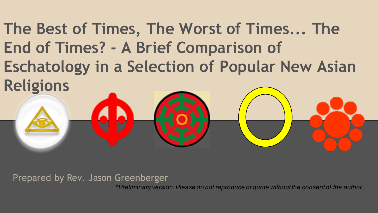**The Best of Times, The Worst of Times... The End of Times? - A Brief Comparison of Eschatology in a Selection of Popular New Asian Religions**

Prepared by Rev. Jason Greenberger

\**Preliminary version. Please do not reproduce or quote without the consent of the author.*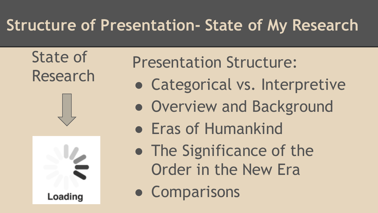#### **Structure of Presentation- State of My Research**

State of Research





Presentation Structure:

- Categorical vs. Interpretive
- Overview and Background
- Eras of Humankind
- The Significance of the Order in the New Era
- Comparisons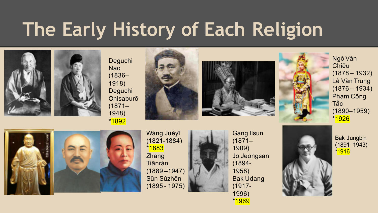# **The Early History of Each Religion**











Ngô Văn Chiêu (1878 – 1932) Lê Văn Trung  $(1876 - 1934)$ Phạm Công Tắc (1890–1959) \*1926



Wáng Juéyī (1821-1884) \*1883 Zhāng Tiānrán (1889 –1947) Sūn Sùzhēn (1895 - 1975)

Gang Ilsun (1871– 1909) Jo Jeongsan (1894- 1958) Bak Udang (1917- 1996) \*1969



Bak Jungbin (1891–1943) \*1916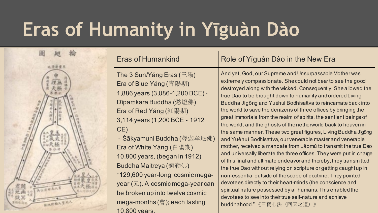# **Eras of Humanity in Yīguàn Dào**



The 3 Sun/Yáng Eras (三陽) Era of Blue Yáng (青陽期) 1,886 years (3,086-1,200 BCE) - Dīpaṃkara Buddha (燃燈佛) Era of Red Yáng (紅陽期) 3,114 years (1,200 BCE - 1912 CE)

- Śākyamuni Buddha (釋迦牟尼佛) Era of White Yáng (白陽期) 10,800 years, (began in 1912) Buddha Maitreya (彌勒佛) \*129,600 year-long cosmic megayear  $(\overline{\pi})$ . A cosmic mega-year can be broken up into twelve cosmic mega-months (會); each lasting 10,800 years.

#### Eras of Humankind Role of Yīguàn Dào in the New Era

And yet, God, our Supreme and Unsurpassable Mother was extremely compassionate. She could not bear to see the good destroyed along with the wicked. Consequently, She allowed the true Dao to be brought down to humanity and ordered Living Buddha Jìgōng and Yuèhuì Bodhisattva to reincarnate back into the world to save the denizens of three offices by bringing the great immortals from the realm of spirits, the sentient beings of the world, and the ghosts of the netherworld back to heaven in the same manner. These two great figures, Living Buddha Jìgōng and Yuèhuì Bodhisattva, our venerable master and venerable mother, received a mandate from Lǎomǔ to transmit the true Dao and universally liberate the three offices. They were put in charge of this final and ultimate endeavor and thereby, they transmitted the true Dao without relying on scripture or getting caught up in non-essential outside of the scope of doctrine. They pointed devotees directly to their heart-minds (the conscience and spiritual nature possessed by all humans. This enabled the devotees to see into their true self-nature and achieve buddhahood." 《三寶心法(回天之道)》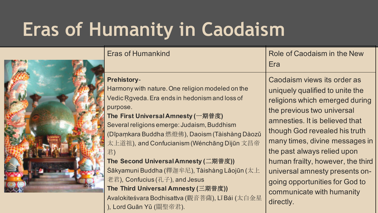# **Eras of Humanity in Caodaism**



| <b>Eras of Humankind</b>                                                                                                                                                                                                                                                                                                                                                                                                                                                                                                                                                        | Role of Caodaism in the New<br>Era                                                                                                                                                                                                                                                                                                                                                                                    |
|---------------------------------------------------------------------------------------------------------------------------------------------------------------------------------------------------------------------------------------------------------------------------------------------------------------------------------------------------------------------------------------------------------------------------------------------------------------------------------------------------------------------------------------------------------------------------------|-----------------------------------------------------------------------------------------------------------------------------------------------------------------------------------------------------------------------------------------------------------------------------------------------------------------------------------------------------------------------------------------------------------------------|
| <b>Prehistory-</b><br>Harmony with nature. One religion modeled on the<br>Vedic Rgveda. Era ends in hedonism and loss of<br>purpose.<br>The First Universal Amnesty (一期普度)<br>Several religions emerge: Judaism, Buddhism<br>(Dīpaṃkara Buddha 燃燈佛), Daoism (Tàishàng Dàozǔ<br>太上道祖), and Confucianism (Wénchāng Dìjūn 文昌帝<br>君)<br>The Second Universal Amnesty (二期普度))<br>Śākyamuni Buddha (釋迦牟尼), Tàishàng Lǎojūn (太上<br>老君), Confucius (孔子), and Jesus<br>The Third Universal Amnesty (三期普度))<br>Avalokiteśvara Bodhisattva (觀音菩薩), Lǐ Bái (太白金星<br>), Lord Guān Yǔ (關聖帝君). | Caodaism views its order as<br>uniquely qualified to unite the<br>religions which emerged during<br>the previous two universal<br>amnesties. It is believed that<br>though God revealed his truth<br>many times, divine messages in<br>the past always relied upon<br>human frailty, however, the third<br>universal amnesty presents on-<br>going opportunities for God to<br>communicate with humanity<br>directly. |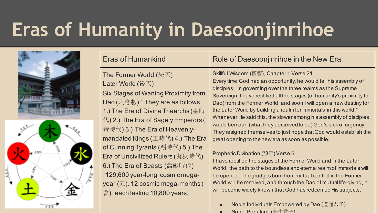# **Eras of Humanity in Daesoonjinrihoe**



| <b>Eras of Humankind</b>                                                                                                                                                                                                                                                                                                                                                                                                                                                                                                   | Role of Daesoonjinrihoe in the New Era                                                                                                                                                                                                                                                                                                                                                                                                                                                                                                                                                                                                                                                                                                                                                                                                                                                                                                                                                                                                                            |
|----------------------------------------------------------------------------------------------------------------------------------------------------------------------------------------------------------------------------------------------------------------------------------------------------------------------------------------------------------------------------------------------------------------------------------------------------------------------------------------------------------------------------|-------------------------------------------------------------------------------------------------------------------------------------------------------------------------------------------------------------------------------------------------------------------------------------------------------------------------------------------------------------------------------------------------------------------------------------------------------------------------------------------------------------------------------------------------------------------------------------------------------------------------------------------------------------------------------------------------------------------------------------------------------------------------------------------------------------------------------------------------------------------------------------------------------------------------------------------------------------------------------------------------------------------------------------------------------------------|
| The Former World (先天)<br>Later World (後天)<br>Six Stages of Waning Proximity from<br>Dao (六度數)." They are as follows<br>1.) The Era of Divine Thearchs (皇時<br>代) 2.) The Era of Sagely Emperors (<br>帝時代) 3.) The Era of Heavenly-<br>mandated Kings (王時代) 4.) The Era<br>of Cunning Tyrants (覇時代) 5.) The<br>Era of Uncivilized Rulers (夷狄時代)<br>6.) The Era of Beasts (禽獸時代)<br>*129,600 year-long cosmic mega-<br>year $(\overline{\pi})$ . 12 cosmic mega-months (<br>$\hat{\mathcal{F}}$ ); each lasting 10,800 years. | Skillful Wisdom (權智), Chapter 1 Verse 21<br>Every time God had an opportunity, he would tell his assembly of<br>disciples, "In governing over the three realms as the Supreme<br>Sovereign, I have rectified all the stages (of humanity's proximity to<br>Dao) from the Former World, and soon I will open a new destiny for<br>the Later World by building a realm for immortals in this world."<br>Whenever He said this, the slower among his assembly of disciples<br>would bemoan (what they perceived to be) God's lack of urgency.<br>They resigned themselves to just hope that God would establish the<br>great opening to the new era as soon as possible.<br>Prophetic Divination (預示) Verse 6<br>I have rectified the stages of the Former World and in the Later<br>World, the path to the boundless and eternal realm of immortals will<br>be opened. The grudges born from mutual conflict in the Former<br>World will be resolved, and through the Dao of mutual life-giving, it<br>will become widely known that God has redeemed His subjects. |
|                                                                                                                                                                                                                                                                                                                                                                                                                                                                                                                            | Noble Individuals Empowered by Dao (道通君子)                                                                                                                                                                                                                                                                                                                                                                                                                                                                                                                                                                                                                                                                                                                                                                                                                                                                                                                                                                                                                         |

 $N$ ohle Populace (荅生君子)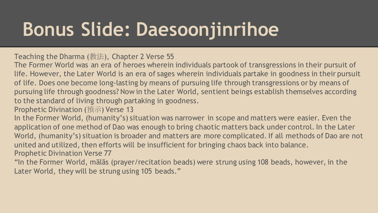# **Bonus Slide: Daesoonjinrihoe**

Teaching the Dharma (教法), Chapter 2 Verse 55

The Former World was an era of heroes wherein individuals partook of transgressions in their pursuit of life. However, the Later World is an era of sages wherein individuals partake in goodness in their pursuit of life. Does one become long-lasting by means of pursuing life through transgressions or by means of pursuing life through goodness? Now in the Later World, sentient beings establish themselves according to the standard of living through partaking in goodness.

Prophetic Divination (預示) Verse 13

In the Former World, (humanity's) situation was narrower in scope and matters were easier. Even the application of one method of Dao was enough to bring chaotic matters back under control. In the Later World, (humanity's) situation is broader and matters are more complicated. If all methods of Dao are not united and utilized, then efforts will be insufficient for bringing chaos back into balance. Prophetic Divination Verse 77

"In the Former World, mālās (prayer/recitation beads) were strung using 108 beads, however, in the Later World, they will be strung using 105 beads."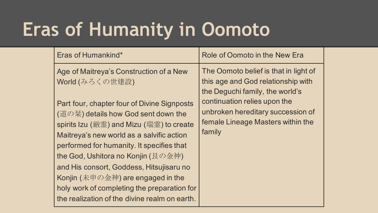# **Eras of Humanity in Oomoto**

| Eras of Humankind*                                                                                                                                                                                                                                                                                                                                                                                                                                                                               | Role of Oomoto in the New Era                                                                                    |
|--------------------------------------------------------------------------------------------------------------------------------------------------------------------------------------------------------------------------------------------------------------------------------------------------------------------------------------------------------------------------------------------------------------------------------------------------------------------------------------------------|------------------------------------------------------------------------------------------------------------------|
| Age of Maitreya's Construction of a New<br>World (みろくの世建設)                                                                                                                                                                                                                                                                                                                                                                                                                                       | The Oomoto belief is that in light of<br>this age and God relationship with<br>the Deguchi family, the world's   |
| Part four, chapter four of Divine Signposts<br>(道の栞) details how God sent down the<br>spirits Izu (厳霊) and Mizu (瑞霊) to create<br>Maitreya's new world as a salvific action<br>performed for humanity. It specifies that<br>the God, Ushitora no Konjin (艮の金神)<br>and His consort, Goddess, Hitsujisaru no<br>Konjin $(\#\,\mathbb{F}\,\mathbb{O}\,\hat{\oplus}\,\mathbb{H})$ are engaged in the<br>holy work of completing the preparation for<br>the realization of the divine realm on earth. | continuation relies upon the<br>unbroken hereditary succession of<br>female Lineage Masters within the<br>family |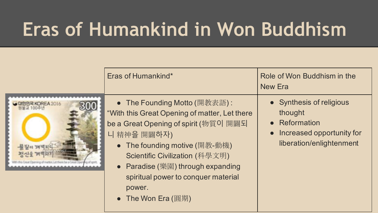# **Eras of Humankind in Won Buddhism**

| • Synthesis of religious<br>● The Founding Motto (開教表語):<br><b>REA 2016</b><br>"With this Great Opening of matter, Let there<br>thought<br>• Reformation<br>be a Great Opening of spirit (物質이 開闢되<br>• Increased opportunity for<br>니 精神을 開闢하자)<br>liberation/enlightenment<br>● The founding motive (開教-動機)<br>Scientific Civilization (科學文明)<br>• Paradise (樂園) through expanding<br>spiritual power to conquer material<br>power.<br>● The Won Era (圓期) |
|------------------------------------------------------------------------------------------------------------------------------------------------------------------------------------------------------------------------------------------------------------------------------------------------------------------------------------------------------------------------------------------------------------------------------------------------------------|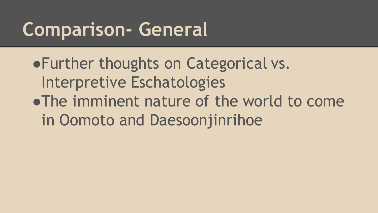#### **Comparison- General**

●Further thoughts on Categorical vs. Interpretive Eschatologies ●The imminent nature of the world to come in Oomoto and Daesoonjinrihoe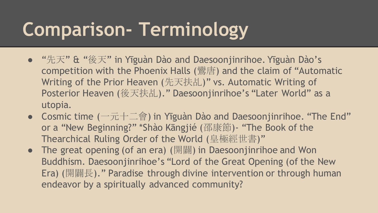# **Comparison- Terminology**

- "先天" & "後天" in Yīguàn Dào and Daesoonjinrihoe. Yīguàn Dào's competition with the Phoenix Halls (鸞唐) and the claim of "Automatic Writing of the Prior Heaven (先天扶乩)" vs. Automatic Writing of Posterior Heaven (後天扶乩)." Daesoonjinrihoe's "Later World" as a utopia.
- Cosmic time  $(\neg \overline{\pi} + \underline{\Box} \circledast)$  in Yīguàn Dào and Daesoonjinrihoe. "The End" or a "New Beginning?" \*Shào Kāngjié (邵康節)- "The Book of the Thearchical Ruling Order of the World (皇極經世書)"
- The great opening (of an era) (開闢) in Daesoonjinrihoe and Won Buddhism. Daesoonjinrihoe's "Lord of the Great Opening (of the New Era) (開闢長)." Paradise through divine intervention or through human endeavor by a spiritually advanced community?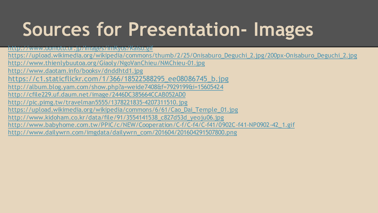# **Sources for Presentation- Images**

http://www.oomoto.or.jp/Images/imKyos/Kaiso.gif

https://upload.wikimedia.org/wikipedia/commons/thumb/2/25/Onisaburo\_Deguchi\_2.jpg/200px-Onisaburo\_Deguchi\_2.jpg http://www.thienlybuutoa.org/Giaoly/NgoVanChieu/NMChieu-01.jpg http://www.daotam.info/booksv/dnddhtd1.jpg https://c1.staticflickr.com/1/366/18522588295\_ee08086745\_b.jpg http://album.blog.yam.com/show.php?a=weide7408&f=7929199&i=15605424 http://cfile229.uf.daum.net/image/2446DC385664CCAB052AD0 http://pic.pimg.tw/travelman5555/1378221835-4207311510.jpg https://upload.wikimedia.org/wikipedia/commons/6/61/Cao\_Dai\_Temple\_01.jpg http://www.kidoham.co.kr/data/file/91/3554141538\_c827d53d\_yeoju06.jpg http://www.babyhome.com.tw/PPIC/c/NEW/Cooperation/C-f/C-f4/C-f41/0902C-f41-NP0902-42\_1.gif http://www.dailywrn.com/imgdata/dailywrn\_com/201604/201604291507800.png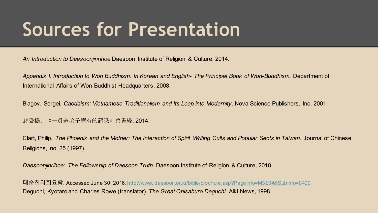#### **Sources for Presentation**

*An Introduction to Daesoonjinrihoe.*Daesoon Institute of Religion & Culture, 2014.

*Appendix I. Introduction to Won Buddhism. In Korean and English- The Principal Book of Won-Buddhism*. Department of International Affairs of Won-Buddhist Headquarters, 2008.

Blagov, Sergei. *Caodaism: Vietnamese Traditionalism and Its Leap into Modernity*. Nova Science Publishers, Inc. 2001.

慈聲橋。《一貫道弟子應有的認識》善書緣, 2014.

Clart, Philip. *The Phoenix and the Mother: The Interaction of Spirit Writing Cults and Popular Sects in Taiwan*. Journal of Chinese Religions, no. 25 (1997).

*Daesoonjinrihoe: The Fellowship of Daesoon Truth*. Daesoon Institute of Religion & Culture, 2010.

대순진리회요람. Accessed June 30, 2016.http://www.idaesoon.or.kr/bible/brochure.asp?PageInfo=M3S04&SubInfo=0400 Deguchi, Kyotaro and Charles Rowe (translator). *The Great Onisaburo Deguchi.* Aiki News, 1998.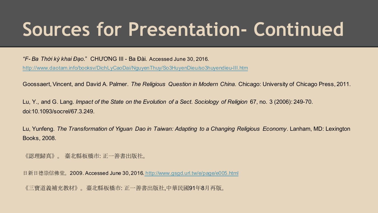#### **Sources for Presentation- Continued**

*"F- Ba Thời kỳ khai Đạo*." CHƯƠNG III - Ba Đài. Accessed June 30, 2016.

http://www.daotam.info/booksv/DichLyCaoDai/NguyenThuy/So3HuyenDieu/so3huyendieu-III.htm

Goossaert, Vincent, and David A. Palmer. *The Religious Question in Modern China*. Chicago: University of Chicago Press, 2011.

Lu, Y., and G. Lang. *Impact of the State on the Evolution of a Sect*. *Sociology of Religion* 67, no. 3 (2006): 249-70. doi:10.1093/socrel/67.3.249.

Lu, Yunfeng. *The Transformation of Yiguan Dao in Taiwan: Adapting to a Changing Religious Economy*. Lanham, MD: Lexington Books, 2008.

《認理歸真》。 臺北縣板橋市: 正一善書出版社。

日新日德崇信佛堂。2009. Accessed June 30, 2016. http://www.gsgd.url.tw/e/page/e005.html

《三寶道義補充教材》。臺北縣板橋市: 正一善書出版社,中華民國91年8月再版。